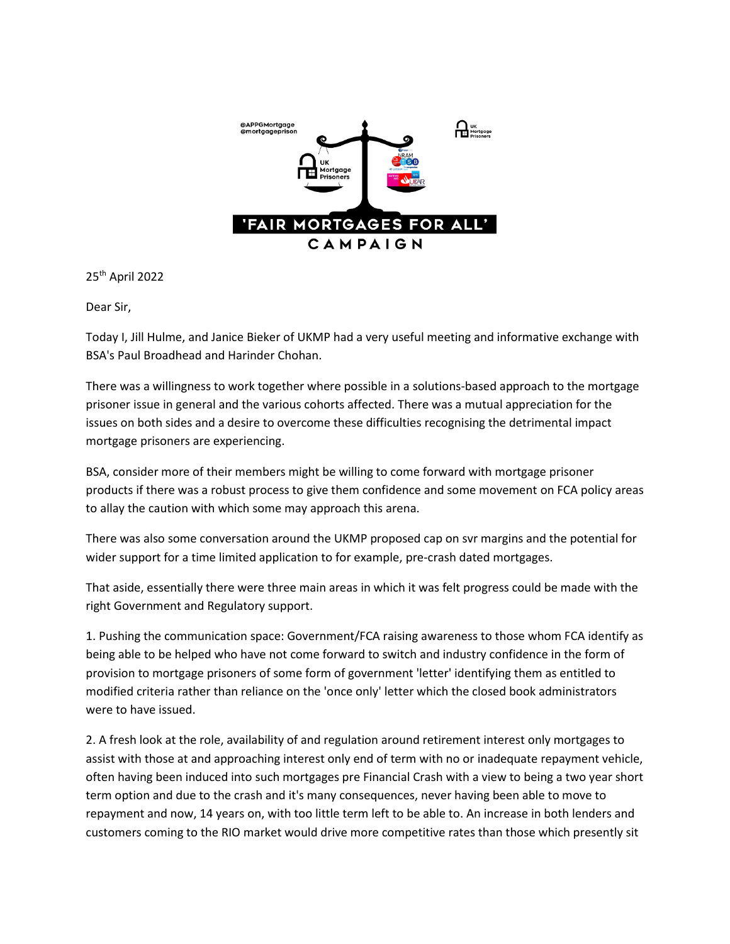

25th April 2022

Dear Sir,

Today I, Jill Hulme, and Janice Bieker of UKMP had a very useful meeting and informative exchange with BSA's Paul Broadhead and Harinder Chohan.

There was a willingness to work together where possible in a solutions-based approach to the mortgage prisoner issue in general and the various cohorts affected. There was a mutual appreciation for the issues on both sides and a desire to overcome these difficulties recognising the detrimental impact mortgage prisoners are experiencing.

BSA, consider more of their members might be willing to come forward with mortgage prisoner products if there was a robust process to give them confidence and some movement on FCA policy areas to allay the caution with which some may approach this arena.

There was also some conversation around the UKMP proposed cap on svr margins and the potential for wider support for a time limited application to for example, pre-crash dated mortgages.

That aside, essentially there were three main areas in which it was felt progress could be made with the right Government and Regulatory support.

1. Pushing the communication space: Government/FCA raising awareness to those whom FCA identify as being able to be helped who have not come forward to switch and industry confidence in the form of provision to mortgage prisoners of some form of government 'letter' identifying them as entitled to modified criteria rather than reliance on the 'once only' letter which the closed book administrators were to have issued.

2. A fresh look at the role, availability of and regulation around retirement interest only mortgages to assist with those at and approaching interest only end of term with no or inadequate repayment vehicle, often having been induced into such mortgages pre Financial Crash with a view to being a two year short term option and due to the crash and it's many consequences, never having been able to move to repayment and now, 14 years on, with too little term left to be able to. An increase in both lenders and customers coming to the RIO market would drive more competitive rates than those which presently sit